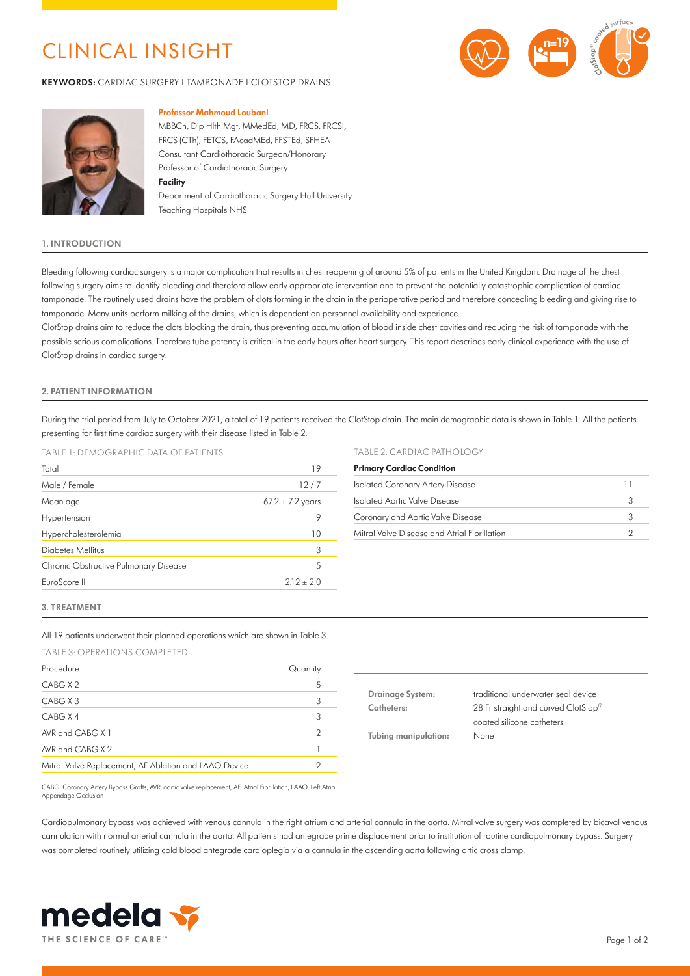## CLINICAL INSIGHT

**KEYWORDS:** CARDIAC SURGERY I TAMPONADE I CLOTSTOP DRAINS





### **Professor Mahmoud Loubani**

MBBCh, Dip Hlth Mgt, MMedEd, MD, FRCS, FRCSI, FRCS (CTh), FETCS, FAcadMEd, FFSTEd, SFHEA Consultant Cardiothoracic Surgeon/Honorary Professor of Cardiothoracic Surgery **Facility**

Department of Cardiothoracic Surgery Hull University Teaching Hospitals NHS

## **1. INTRODUCTION**

Bleeding following cardiac surgery is a major complication that results in chest reopening of around 5% of patients in the United Kingdom. Drainage of the chest following surgery aims to identify bleeding and therefore allow early appropriate intervention and to prevent the potentially catastrophic complication of cardiac tamponade. The routinely used drains have the problem of clots forming in the drain in the perioperative period and therefore concealing bleeding and giving rise to tamponade. Many units perform milking of the drains, which is dependent on personnel availability and experience.

ClotStop drains aim to reduce the clots blocking the drain, thus preventing accumulation of blood inside chest cavities and reducing the risk of tamponade with the possible serious complications. Therefore tube patency is critical in the early hours after heart surgery. This report describes early clinical experience with the use of ClotStop drains in cardiac surgery.

## **2. PATIENT INFORMATION**

During the trial period from July to October 2021, a total of 19 patients received the ClotStop drain. The main demographic data is shown in Table 1. All the patients presenting for first time cardiac surgery with their disease listed in Table 2.

## TABLE 1: DEMOGRAPHIC DATA OF PATIENTS

| Total                                 | 19                   |
|---------------------------------------|----------------------|
| Male / Female                         | 12/7                 |
| Mean age                              | $67.2 \pm 7.2$ years |
| Hypertension                          | 9                    |
| Hypercholesterolemia                  | 10                   |
| Diabetes Mellitus                     | 3                    |
| Chronic Obstructive Pulmonary Disease | 5                    |
| EuroScore II                          | $212 + 2.0$          |
|                                       |                      |

## TABLE 2: CARDIAC PATHOLOGY

| <b>Primary Cardiac Condition</b>             |   |  |
|----------------------------------------------|---|--|
| <b>Isolated Coronary Artery Disease</b>      |   |  |
| Isolated Aortic Valve Disease                | 3 |  |
| Coronary and Aortic Valve Disease            | 3 |  |
| Mitral Valve Disease and Atrial Fibrillation |   |  |

#### **3. TREATMENT**

All 19 patients underwent their planned operations which are shown in Table 3.

TABLE 3: OPERATIONS COMPLETED

| Procedure                                             | Quantity       |
|-------------------------------------------------------|----------------|
| CABG X 2                                              | 5              |
| CABG X 3                                              | 3              |
| CABG X 4                                              | 3              |
| AVR and $CABGX1$                                      | $\overline{2}$ |
| AVR and CABG $X$ 2                                    |                |
| Mitral Valve Replacement, AF Ablation and LAAO Device |                |

| <b>Drainage System:</b> | traditional underwater seal device  |
|-------------------------|-------------------------------------|
| Catheters:              | 28 Fr straight and curved ClotStop® |
|                         | coated silicone catheters           |
| Tubing manipulation:    | None                                |
|                         |                                     |

CABG: Coronary Artery Bypass Grafts; AVR: aortic valve replacement; AF: Atrial Fibrillation; LAAO: Left Atrial Appendage Occlusion

Cardiopulmonary bypass was achieved with venous cannula in the right atrium and arterial cannula in the aorta. Mitral valve surgery was completed by bicaval venous cannulation with normal arterial cannula in the aorta. All patients had antegrade prime displacement prior to institution of routine cardiopulmonary bypass. Surgery was completed routinely utilizing cold blood antegrade cardioplegia via a cannula in the ascending aorta following artic cross clamp.

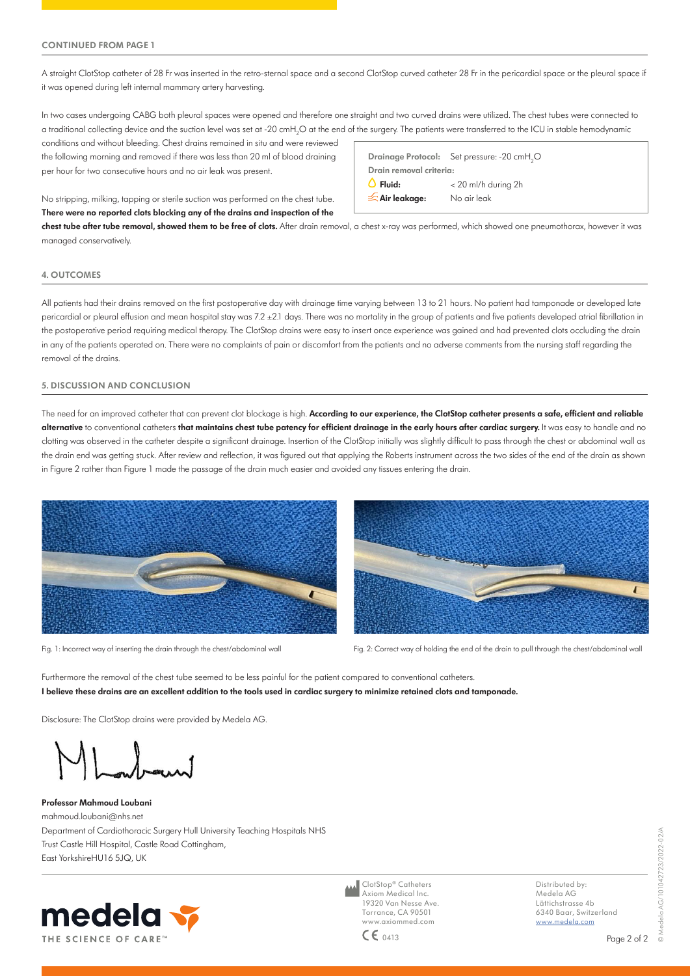A straight ClotStop catheter of 28 Fr was inserted in the retro-sternal space and a second ClotStop curved catheter 28 Fr in the pericardial space or the pleural space if it was opened during left internal mammary artery harvesting.

In two cases undergoing CABG both pleural spaces were opened and therefore one straight and two curved drains were utilized. The chest tubes were connected to a traditional collecting device and the suction level was set at -20 cmH<sub>2</sub>O at the end of the surgery. The patients were transferred to the ICU in stable hemodynamic

conditions and without bleeding. Chest drains remained in situ and were reviewed the following morning and removed if there was less than 20 ml of blood draining per hour for two consecutive hours and no air leak was present.

No stripping, milking, tapping or sterile suction was performed on the chest tube. **There were no reported clots blocking any of the drains and inspection of the** 

**Drainage Protocol:** Set pressure: -20 cmH<sub>2</sub>O **Drain removal criteria: Fluid:** < 20 ml/h during 2h **Air leakage:** No air leak

**chest tube after tube removal, showed them to be free of clots.** After drain removal, a chest x-ray was performed, which showed one pneumothorax, however it was managed conservatively.

## **4. OUTCOMES**

All patients had their drains removed on the first postoperative day with drainage time varying between 13 to 21 hours. No patient had tamponade or developed late pericardial or pleural effusion and mean hospital stay was 7.2 ±2.1 days. There was no mortality in the group of patients and five patients developed atrial fibrillation in the postoperative period requiring medical therapy. The ClotStop drains were easy to insert once experience was gained and had prevented clots occluding the drain in any of the patients operated on. There were no complaints of pain or discomfort from the patients and no adverse comments from the nursing staff regarding the removal of the drains.

## **5. DISCUSSION AND CONCLUSION**

The need for an improved catheter that can prevent clot blockage is high. According to our experience, the ClotStop catheter presents a safe, efficient and reliable **alternative** to conventional catheters **that maintains chest tube patency for efficient drainage in the early hours after cardiac surgery.** It was easy to handle and no clotting was observed in the catheter despite a significant drainage. Insertion of the ClotStop initially was slightly difficult to pass through the chest or abdominal wall as the drain end was getting stuck. After review and reflection, it was figured out that applying the Roberts instrument across the two sides of the end of the drain as shown in Figure 2 rather than Figure 1 made the passage of the drain much easier and avoided any tissues entering the drain.





Fig. 1: Incorrect way of inserting the drain through the chest/abdominal wall Fig. 2: Correct way of holding the end of the drain to pull through the chest/abdominal wall

Furthermore the removal of the chest tube seemed to be less painful for the patient compared to conventional catheters. **I believe these drains are an excellent addition to the tools used in cardiac surgery to minimize retained clots and tamponade.**

Disclosure: The ClotStop drains were provided by Medela AG.

**Professor Mahmoud Loubani**  mahmoud.loubani@nhs.net Department of Cardiothoracic Surgery Hull University Teaching Hospitals NHS Trust Castle Hill Hospital, Castle Road Cottingham, East YorkshireHU16 5JQ, UK



ClotStop® Catheters Axiom Medical Inc. 19320 Van Nesse Ave. Torrance, CA 90501 www.axiommed.com  $CE_{0413}$ 

Distributed by: Medela AG Lättichstrasse 4b 6340 Baar, Switzerland [www.medela.com](http://www.medela.com)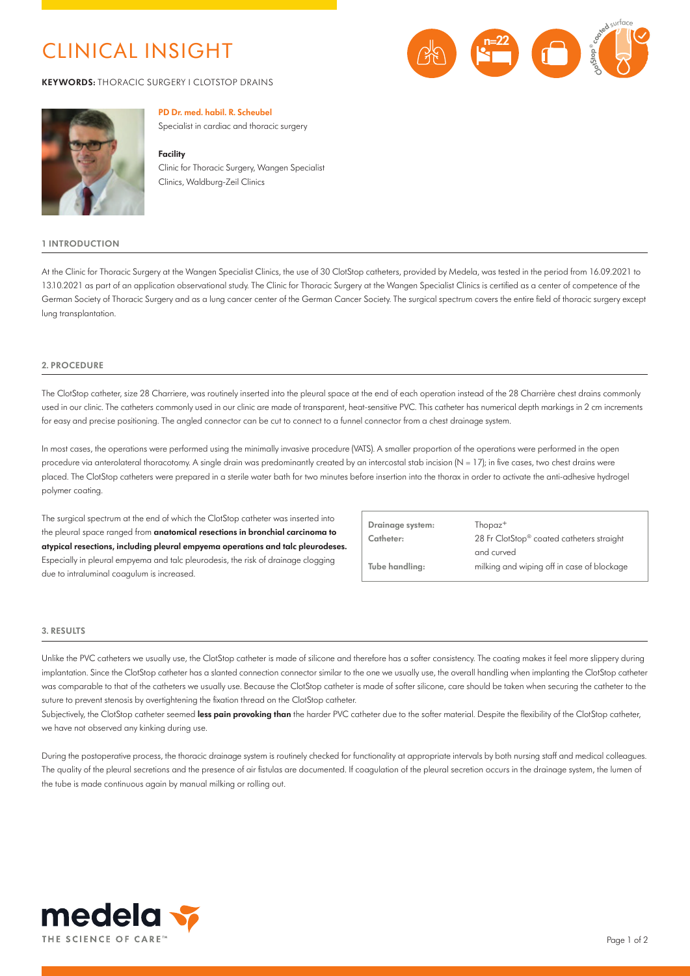## CLINICAL INSIGHT

**KEYWORDS:** THORACIC SURGERY I CLOTSTOP DRAINS





## **PD Dr. med. habil. R. Scheubel**

Specialist in cardiac and thoracic surgery

#### **Facility**

Clinic for Thoracic Surgery, Wangen Specialist Clinics, Waldburg-Zeil Clinics

#### **1 INTRODUCTION**

At the Clinic for Thoracic Surgery at the Wangen Specialist Clinics, the use of 30 ClotStop catheters, provided by Medela, was tested in the period from 16.09.2021 to 13.10.2021 as part of an application observational study. The Clinic for Thoracic Surgery at the Wangen Specialist Clinics is certified as a center of competence of the German Society of Thoracic Surgery and as a lung cancer center of the German Cancer Society. The surgical spectrum covers the entire field of thoracic surgery except lung transplantation.

## **2. PROCEDURE**

The ClotStop catheter, size 28 Charriere, was routinely inserted into the pleural space at the end of each operation instead of the 28 Charrière chest drains commonly used in our clinic. The catheters commonly used in our clinic are made of transparent, heat-sensitive PVC. This catheter has numerical depth markings in 2 cm increments for easy and precise positioning. The angled connector can be cut to connect to a funnel connector from a chest drainage system.

In most cases, the operations were performed using the minimally invasive procedure (VATS). A smaller proportion of the operations were performed in the open procedure via anterolateral thoracotomy. A single drain was predominantly created by an intercostal stab incision  $(N = 17)$ ; in five cases, two chest drains were placed. The ClotStop catheters were prepared in a sterile water bath for two minutes before insertion into the thorax in order to activate the anti-adhesive hydrogel polymer coating.

The surgical spectrum at the end of which the ClotStop catheter was inserted into the pleural space ranged from **anatomical resections in bronchial carcinoma to atypical resections, including pleural empyema operations and talc pleurodeses.**  Especially in pleural empyema and talc pleurodesis, the risk of drainage clogging due to intraluminal coagulum is increased.

| Drainage system: | $Thopaz^+$                                              |
|------------------|---------------------------------------------------------|
| Catheter:        | 28 Fr ClotStop® coated catheters straight<br>and curved |
| Tube handling:   | milking and wiping off in case of blockage              |

#### **3. RESULTS**

Unlike the PVC catheters we usually use, the ClotStop catheter is made of silicone and therefore has a softer consistency. The coating makes it feel more slippery during implantation. Since the ClotStop catheter has a slanted connection connector similar to the one we usually use, the overall handling when implanting the ClotStop catheter was comparable to that of the catheters we usually use. Because the ClotStop catheter is made of softer silicone, care should be taken when securing the catheter to the suture to prevent stenosis by overtightening the fixation thread on the ClotStop catheter.

Subjectively, the ClotStop catheter seemed **less pain provoking than** the harder PVC catheter due to the softer material. Despite the flexibility of the ClotStop catheter, we have not observed any kinking during use.

During the postoperative process, the thoracic drainage system is routinely checked for functionality at appropriate intervals by both nursing staff and medical colleagues. The quality of the pleural secretions and the presence of air fistulas are documented. If coagulation of the pleural secretion occurs in the drainage system, the lumen of the tube is made continuous again by manual milking or rolling out.

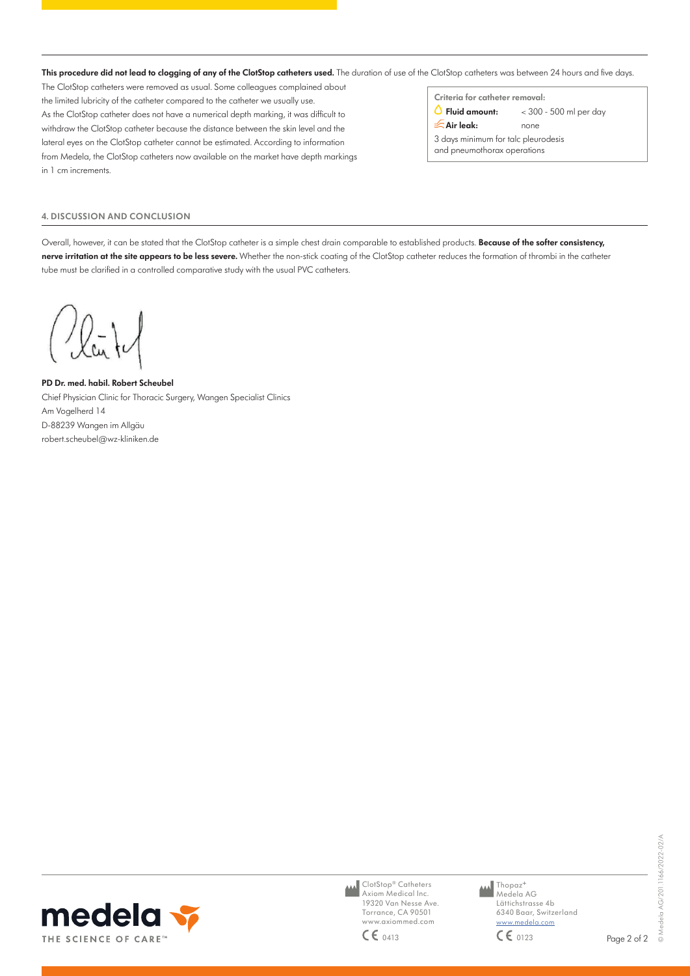This procedure did not lead to clogging of any of the ClotStop catheters used. The duration of use of the ClotStop catheters was between 24 hours and five days.

The ClotStop catheters were removed as usual. Some colleagues complained about the limited lubricity of the catheter compared to the catheter we usually use. As the ClotStop catheter does not have a numerical depth marking, it was difficult to withdraw the ClotStop catheter because the distance between the skin level and the lateral eyes on the ClotStop catheter cannot be estimated. According to information from Medela, the ClotStop catheters now available on the market have depth markings in 1 cm increments.

**Criteria for catheter removal:**

 $\bigcirc$  Fluid amount:  $\bigcirc$  < 300 - 500 ml per day

**Air leak:** none

3 days minimum for talc pleurodesis and pneumothorax operations

## **4. DISCUSSION AND CONCLUSION**

Overall, however, it can be stated that the ClotStop catheter is a simple chest drain comparable to established products. **Because of the softer consistency, nerve irritation at the site appears to be less severe.** Whether the non-stick coating of the ClotStop catheter reduces the formation of thrombi in the catheter tube must be clarified in a controlled comparative study with the usual PVC catheters.

/la

**PD Dr. med. habil. Robert Scheubel** Chief Physician Clinic for Thoracic Surgery, Wangen Specialist Clinics Am Vogelherd 14 D-88239 Wangen im Allgäu robert.scheubel@wz-kliniken.de



ClotStop® Catheters Axiom Medical Inc. 19320 Van Nesse Ave. Torrance, CA 90501 www.axiommed.com

**M** Thopaz<sup>+</sup> Medela AG Lättichstrasse 4b 6340 Baar, Switzerland www.medela.com  $CE_{0413}$   $CE_{0123}$